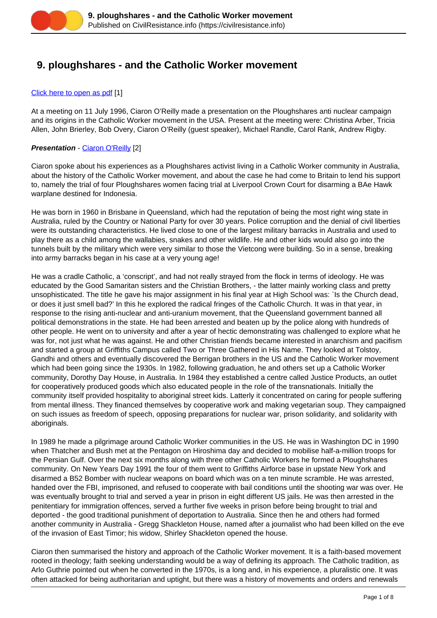

# **9. ploughshares - and the Catholic Worker movement**

### [Click here to open as pdf](https://civilresistance.info/sites/default/files/9-ploughshares.pdf) [1]

At a meeting on 11 July 1996, Ciaron O'Reilly made a presentation on the Ploughshares anti nuclear campaign and its origins in the Catholic Worker movement in the USA. Present at the meeting were: Christina Arber, Tricia Allen, John Brierley, Bob Overy, Ciaron O'Reilly (guest speaker), Michael Randle, Carol Rank, Andrew Rigby.

### **Presentation - [Ciaron O'Reilly](https://civilresistance.info/challenge/preface#Ciaron) [2]**

Ciaron spoke about his experiences as a Ploughshares activist living in a Catholic Worker community in Australia, about the history of the Catholic Worker movement, and about the case he had come to Britain to lend his support to, namely the trial of four Ploughshares women facing trial at Liverpool Crown Court for disarming a BAe Hawk warplane destined for Indonesia.

He was born in 1960 in Brisbane in Queensland, which had the reputation of being the most right wing state in Australia, ruled by the Country or National Party for over 30 years. Police corruption and the denial of civil liberties were its outstanding characteristics. He lived close to one of the largest military barracks in Australia and used to play there as a child among the wallabies, snakes and other wildlife. He and other kids would also go into the tunnels built by the military which were very similar to those the Vietcong were building. So in a sense, breaking into army barracks began in his case at a very young age!

He was a cradle Catholic, a 'conscript', and had not really strayed from the flock in terms of ideology. He was educated by the Good Samaritan sisters and the Christian Brothers, - the latter mainly working class and pretty unsophisticated. The title he gave his major assignment in his final year at High School was: `Is the Church dead, or does it just smell bad?' In this he explored the radical fringes of the Catholic Church. It was in that year, in response to the rising anti-nuclear and anti-uranium movement, that the Queensland government banned all political demonstrations in the state. He had been arrested and beaten up by the police along with hundreds of other people. He went on to university and after a year of hectic demonstrating was challenged to explore what he was for, not just what he was against. He and other Christian friends became interested in anarchism and pacifism and started a group at Griffiths Campus called Two or Three Gathered in His Name. They looked at Tolstoy, Gandhi and others and eventually discovered the Berrigan brothers in the US and the Catholic Worker movement which had been going since the 1930s. In 1982, following graduation, he and others set up a Catholic Worker community, Dorothy Day House, in Australia. In 1984 they established a centre called Justice Products, an outlet for cooperatively produced goods which also educated people in the role of the transnationals. Initially the community itself provided hospitality to aboriginal street kids. Latterly it concentrated on caring for people suffering from mental illness. They financed themselves by cooperative work and making vegetarian soup. They campaigned on such issues as freedom of speech, opposing preparations for nuclear war, prison solidarity, and solidarity with aboriginals.

In 1989 he made a pilgrimage around Catholic Worker communities in the US. He was in Washington DC in 1990 when Thatcher and Bush met at the Pentagon on Hiroshima day and decided to mobilise half-a-million troops for the Persian Gulf. Over the next six months along with three other Catholic Workers he formed a Ploughshares community. On New Years Day 1991 the four of them went to Griffiths Airforce base in upstate New York and disarmed a B52 Bomber with nuclear weapons on board which was on a ten minute scramble. He was arrested, handed over the FBI, imprisoned, and refused to cooperate with bail conditions until the shooting war was over. He was eventually brought to trial and served a year in prison in eight different US jails. He was then arrested in the penitentiary for immigration offences, served a further five weeks in prison before being brought to trial and deported - the good traditional punishment of deportation to Australia. Since then he and others had formed another community in Australia - Gregg Shackleton House, named after a journalist who had been killed on the eve of the invasion of East Timor; his widow, Shirley Shackleton opened the house.

Ciaron then summarised the history and approach of the Catholic Worker movement. It is a faith-based movement rooted in theology; faith seeking understanding would be a way of defining its approach. The Catholic tradition, as Arlo Guthrie pointed out when he converted in the 1970s, is a long and, in his experience, a pluralistic one. It was often attacked for being authoritarian and uptight, but there was a history of movements and orders and renewals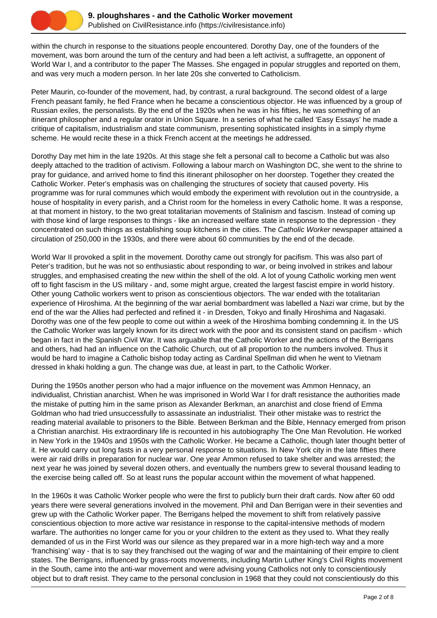

within the church in response to the situations people encountered. Dorothy Day, one of the founders of the movement, was born around the turn of the century and had been a left activist, a suffragette, an opponent of World War I, and a contributor to the paper The Masses. She engaged in popular struggles and reported on them, and was very much a modern person. In her late 20s she converted to Catholicism.

Peter Maurin, co-founder of the movement, had, by contrast, a rural background. The second oldest of a large French peasant family, he fled France when he became a conscientious objector. He was influenced by a group of Russian exiles, the personalists. By the end of the 1920s when he was in his fifties, he was something of an itinerant philosopher and a regular orator in Union Square. In a series of what he called 'Easy Essays' he made a critique of capitalism, industrialism and state communism, presenting sophisticated insights in a simply rhyme scheme. He would recite these in a thick French accent at the meetings he addressed.

Dorothy Day met him in the late 1920s. At this stage she felt a personal call to become a Catholic but was also deeply attached to the tradition of activism. Following a labour march on Washington DC, she went to the shrine to pray for guidance, and arrived home to find this itinerant philosopher on her doorstep. Together they created the Catholic Worker. Peter's emphasis was on challenging the structures of society that caused poverty. His programme was for rural communes which would embody the experiment with revolution out in the countryside, a house of hospitality in every parish, and a Christ room for the homeless in every Catholic home. It was a response, at that moment in history, to the two great totalitarian movements of Stalinism and fascism. Instead of coming up with those kind of large responses to things - like an increased welfare state in response to the depression - they concentrated on such things as establishing soup kitchens in the cities. The Catholic Worker newspaper attained a circulation of 250,000 in the 1930s, and there were about 60 communities by the end of the decade.

World War II provoked a split in the movement. Dorothy came out strongly for pacifism. This was also part of Peter's tradition, but he was not so enthusiastic about responding to war, or being involved in strikes and labour struggles, and emphasised creating the new within the shell of the old. A lot of young Catholic working men went off to fight fascism in the US military - and, some might argue, created the largest fascist empire in world history. Other young Catholic workers went to prison as conscientious objectors. The war ended with the totalitarian experience of Hiroshima. At the beginning of the war aerial bombardment was labelled a Nazi war crime, but by the end of the war the Allies had perfected and refined it - in Dresden, Tokyo and finally Hiroshima and Nagasaki. Dorothy was one of the few people to come out within a week of the Hiroshima bombing condemning it. In the US the Catholic Worker was largely known for its direct work with the poor and its consistent stand on pacifism - which began in fact in the Spanish Civil War. It was arguable that the Catholic Worker and the actions of the Berrigans and others, had had an influence on the Catholic Church, out of all proportion to the numbers involved. Thus it would be hard to imagine a Catholic bishop today acting as Cardinal Spellman did when he went to Vietnam dressed in khaki holding a gun. The change was due, at least in part, to the Catholic Worker.

During the 1950s another person who had a major influence on the movement was Ammon Hennacy, an individualist, Christian anarchist. When he was imprisoned in World War I for draft resistance the authorities made the mistake of putting him in the same prison as Alexander Berkman, an anarchist and close friend of Emma Goldman who had tried unsuccessfully to assassinate an industrialist. Their other mistake was to restrict the reading material available to prisoners to the Bible. Between Berkman and the Bible, Hennacy emerged from prison a Christian anarchist. His extraordinary life is recounted in his autobiography The One Man Revolution. He worked in New York in the 1940s and 1950s with the Catholic Worker. He became a Catholic, though later thought better of it. He would carry out long fasts in a very personal response to situations. In New York city in the late fifties there were air raid drills in preparation for nuclear war. One year Ammon refused to take shelter and was arrested; the next year he was joined by several dozen others, and eventually the numbers grew to several thousand leading to the exercise being called off. So at least runs the popular account within the movement of what happened.

In the 1960s it was Catholic Worker people who were the first to publicly burn their draft cards. Now after 60 odd years there were several generations involved in the movement. Phil and Dan Berrigan were in their seventies and grew up with the Catholic Worker paper. The Berrigans helped the movement to shift from relatively passive conscientious objection to more active war resistance in response to the capital-intensive methods of modern warfare. The authorities no longer came for you or your children to the extent as they used to. What they really demanded of us in the First World was our silence as they prepared war in a more high-tech way and a more 'franchising' way - that is to say they franchised out the waging of war and the maintaining of their empire to client states. The Berrigans, influenced by grass-roots movements, including Martin Luther King's Civil Rights movement in the South, came into the anti-war movement and were advising young Catholics not only to conscientiously object but to draft resist. They came to the personal conclusion in 1968 that they could not conscientiously do this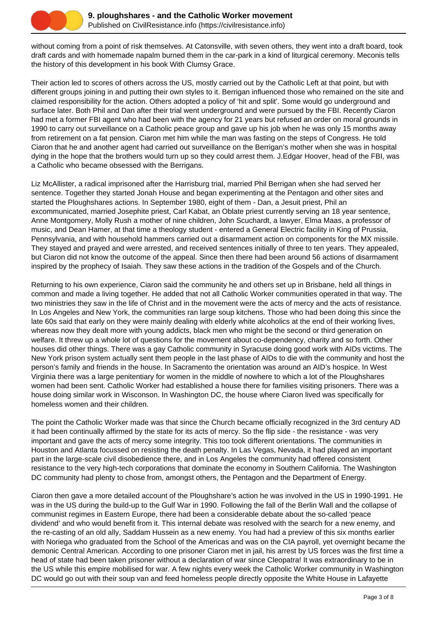

without coming from a point of risk themselves. At Catonsville, with seven others, they went into a draft board, took draft cards and with homemade napalm burned them in the car-park in a kind of liturgical ceremony. Meconis tells the history of this development in his book With Clumsy Grace.

Their action led to scores of others across the US, mostly carried out by the Catholic Left at that point, but with different groups joining in and putting their own styles to it. Berrigan influenced those who remained on the site and claimed responsibility for the action. Others adopted a policy of 'hit and split'. Some would go underground and surface later. Both Phil and Dan after their trial went underground and were pursued by the FBI. Recently Ciaron had met a former FBI agent who had been with the agency for 21 years but refused an order on moral grounds in 1990 to carry out surveillance on a Catholic peace group and gave up his job when he was only 15 months away from retirement on a fat pension. Ciaron met him while the man was fasting on the steps of Congress. He told Ciaron that he and another agent had carried out surveillance on the Berrigan's mother when she was in hospital dying in the hope that the brothers would turn up so they could arrest them. J.Edgar Hoover, head of the FBI, was a Catholic who became obsessed with the Berrigans.

Liz McAllister, a radical imprisoned after the Harrisburg trial, married Phil Berrigan when she had served her sentence. Together they started Jonah House and began experimenting at the Pentagon and other sites and started the Ploughshares actions. In September 1980, eight of them - Dan, a Jesuit priest, Phil an excommunicated, married Josephite priest, Carl Kabat, an Oblate priest currently serving an 18 year sentence, Anne Montgomery, Molly Rush a mother of nine children, John Scuchardt, a lawyer, Elma Maas, a professor of music, and Dean Hamer, at that time a theology student - entered a General Electric facility in King of Prussia, Pennsylvania, and with household hammers carried out a disarmament action on components for the MX missile. They stayed and prayed and were arrested, and received sentences initially of three to ten years. They appealed, but Ciaron did not know the outcome of the appeal. Since then there had been around 56 actions of disarmament inspired by the prophecy of Isaiah. They saw these actions in the tradition of the Gospels and of the Church.

Returning to his own experience, Ciaron said the community he and others set up in Brisbane, held all things in common and made a living together. He added that not all Catholic Worker communities operated in that way. The two ministries they saw in the life of Christ and in the movement were the acts of mercy and the acts of resistance. In Los Angeles and New York, the communities ran large soup kitchens. Those who had been doing this since the late 60s said that early on they were mainly dealing with elderly white alcoholics at the end of their working lives, whereas now they dealt more with young addicts, black men who might be the second or third generation on welfare. It threw up a whole lot of questions for the movement about co-dependency, charity and so forth. Other houses did other things. There was a gay Catholic community in Syracuse doing good work with AIDs victims. The New York prison system actually sent them people in the last phase of AIDs to die with the community and host the person's family and friends in the house. In Sacramento the orientation was around an AID's hospice. In West Virginia there was a large penitentiary for women in the middle of nowhere to which a lot of the Ploughshares women had been sent. Catholic Worker had established a house there for families visiting prisoners. There was a house doing similar work in Wisconson. In Washington DC, the house where Ciaron lived was specifically for homeless women and their children.

The point the Catholic Worker made was that since the Church became officially recognized in the 3rd century AD it had been continually affirmed by the state for its acts of mercy. So the flip side - the resistance - was very important and gave the acts of mercy some integrity. This too took different orientations. The communities in Houston and Atlanta focussed on resisting the death penalty. In Las Vegas, Nevada, it had played an important part in the large-scale civil disobedience there, and in Los Angeles the community had offered consistent resistance to the very high-tech corporations that dominate the economy in Southern California. The Washington DC community had plenty to chose from, amongst others, the Pentagon and the Department of Energy.

Ciaron then gave a more detailed account of the Ploughshare's action he was involved in the US in 1990-1991. He was in the US during the build-up to the Gulf War in 1990. Following the fall of the Berlin Wall and the collapse of communist regimes in Eastern Europe, there had been a considerable debate about the so-called 'peace dividend' and who would benefit from it. This internal debate was resolved with the search for a new enemy, and the re-casting of an old ally, Saddam Hussein as a new enemy. You had had a preview of this six months earlier with Noriega who graduated from the School of the Americas and was on the CIA payroll, yet overnight became the demonic Central American. According to one prisoner Ciaron met in jail, his arrest by US forces was the first time a head of state had been taken prisoner without a declaration of war since Cleopatra! It was extraordinary to be in the US while this empire mobilised for war. A few nights every week the Catholic Worker community in Washington DC would go out with their soup van and feed homeless people directly opposite the White House in Lafayette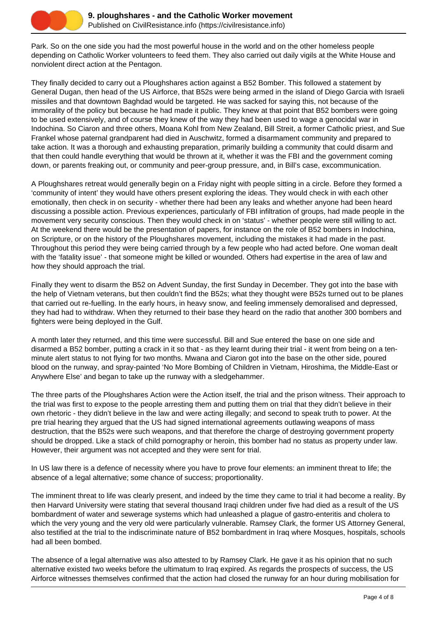

Park. So on the one side you had the most powerful house in the world and on the other homeless people depending on Catholic Worker volunteers to feed them. They also carried out daily vigils at the White House and nonviolent direct action at the Pentagon.

They finally decided to carry out a Ploughshares action against a B52 Bomber. This followed a statement by General Dugan, then head of the US Airforce, that B52s were being armed in the island of Diego Garcia with Israeli missiles and that downtown Baghdad would be targeted. He was sacked for saying this, not because of the immorality of the policy but because he had made it public. They knew at that point that B52 bombers were going to be used extensively, and of course they knew of the way they had been used to wage a genocidal war in Indochina. So Ciaron and three others, Moana Kohl from New Zealand, Bill Streit, a former Catholic priest, and Sue Frankel whose paternal grandparent had died in Auschwitz, formed a disarmament community and prepared to take action. It was a thorough and exhausting preparation, primarily building a community that could disarm and that then could handle everything that would be thrown at it, whether it was the FBI and the government coming down, or parents freaking out, or community and peer-group pressure, and, in Bill's case, excommunication.

A Ploughshares retreat would generally begin on a Friday night with people sitting in a circle. Before they formed a 'community of intent' they would have others present exploring the ideas. They would check in with each other emotionally, then check in on security - whether there had been any leaks and whether anyone had been heard discussing a possible action. Previous experiences, particularly of FBI infiltration of groups, had made people in the movement very security conscious. Then they would check in on 'status' - whether people were still willing to act. At the weekend there would be the presentation of papers, for instance on the role of B52 bombers in Indochina, on Scripture, or on the history of the Ploughshares movement, including the mistakes it had made in the past. Throughout this period they were being carried through by a few people who had acted before. One woman dealt with the 'fatality issue' - that someone might be killed or wounded. Others had expertise in the area of law and how they should approach the trial.

Finally they went to disarm the B52 on Advent Sunday, the first Sunday in December. They got into the base with the help of Vietnam veterans, but then couldn't find the B52s; what they thought were B52s turned out to be planes that carried out re-fuelling. In the early hours, in heavy snow, and feeling immensely demoralised and depressed, they had had to withdraw. When they returned to their base they heard on the radio that another 300 bombers and fighters were being deployed in the Gulf.

A month later they returned, and this time were successful. Bill and Sue entered the base on one side and disarmed a B52 bomber, putting a crack in it so that - as they learnt during their trial - it went from being on a tenminute alert status to not flying for two months. Mwana and Ciaron got into the base on the other side, poured blood on the runway, and spray-painted 'No More Bombing of Children in Vietnam, Hiroshima, the Middle-East or Anywhere Else' and began to take up the runway with a sledgehammer.

The three parts of the Ploughshares Action were the Action itself, the trial and the prison witness. Their approach to the trial was first to expose to the people arresting them and putting them on trial that they didn't believe in their own rhetoric - they didn't believe in the law and were acting illegally; and second to speak truth to power. At the pre trial hearing they argued that the US had signed international agreements outlawing weapons of mass destruction, that the B52s were such weapons, and that therefore the charge of destroying government property should be dropped. Like a stack of child pornography or heroin, this bomber had no status as property under law. However, their argument was not accepted and they were sent for trial.

In US law there is a defence of necessity where you have to prove four elements: an imminent threat to life; the absence of a legal alternative; some chance of success; proportionality.

The imminent threat to life was clearly present, and indeed by the time they came to trial it had become a reality. By then Harvard University were stating that several thousand Iraqi children under five had died as a result of the US bombardment of water and sewerage systems which had unleashed a plague of gastro-enteritis and cholera to which the very young and the very old were particularly vulnerable. Ramsey Clark, the former US Attorney General, also testified at the trial to the indiscriminate nature of B52 bombardment in Iraq where Mosques, hospitals, schools had all been bombed.

The absence of a legal alternative was also attested to by Ramsey Clark. He gave it as his opinion that no such alternative existed two weeks before the ultimatum to Iraq expired. As regards the prospects of success, the US Airforce witnesses themselves confirmed that the action had closed the runway for an hour during mobilisation for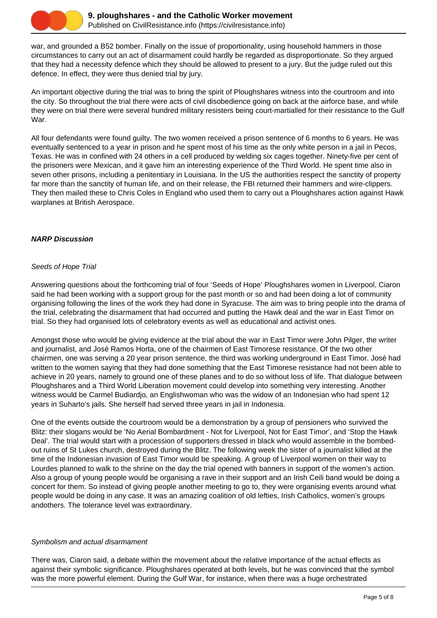

war, and grounded a B52 bomber. Finally on the issue of proportionality, using household hammers in those circumstances to carry out an act of disarmament could hardly be regarded as disproportionate. So they argued that they had a necessity defence which they should be allowed to present to a jury. But the judge ruled out this defence. In effect, they were thus denied trial by jury.

An important objective during the trial was to bring the spirit of Ploughshares witness into the courtroom and into the city. So throughout the trial there were acts of civil disobedience going on back at the airforce base, and while they were on trial there were several hundred military resisters being court-martialled for their resistance to the Gulf War.

All four defendants were found guilty. The two women received a prison sentence of 6 months to 6 years. He was eventually sentenced to a year in prison and he spent most of his time as the only white person in a jail in Pecos, Texas. He was in confined with 24 others in a cell produced by welding six cages together. Ninety-five per cent of the prisoners were Mexican, and it gave him an interesting experience of the Third World. He spent time also in seven other prisons, including a penitentiary in Louisiana. In the US the authorities respect the sanctity of property far more than the sanctity of human life, and on their release, the FBI returned their hammers and wire-clippers. They then mailed these to Chris Coles in England who used them to carry out a Ploughshares action against Hawk warplanes at British Aerospace.

## **NARP Discussion**

## Seeds of Hope Trial

Answering questions about the forthcoming trial of four 'Seeds of Hope' Ploughshares women in Liverpool, Ciaron said he had been working with a support group for the past month or so and had been doing a lot of community organising following the lines of the work they had done in Syracuse. The aim was to bring people into the drama of the trial, celebrating the disarmament that had occurred and putting the Hawk deal and the war in East Timor on trial. So they had organised lots of celebratory events as well as educational and activist ones.

Amongst those who would be giving evidence at the trial about the war in East Timor were John Pilger, the writer and journalist, and José Ramos Horta, one of the chairmen of East Timorese resistance. Of the two other chairmen, one was serving a 20 year prison sentence, the third was working underground in East Timor. José had written to the women saying that they had done something that the East Timorese resistance had not been able to achieve in 20 years, namely to ground one of these planes and to do so without loss of life. That dialogue between Ploughshares and a Third World Liberation movement could develop into something very interesting. Another witness would be Carmel Budiardjo, an Englishwoman who was the widow of an Indonesian who had spent 12 years in Suharto's jails. She herself had served three years in jail in Indonesia.

One of the events outside the courtroom would be a demonstration by a group of pensioners who survived the Blitz: their slogans would be 'No Aerial Bombardment - Not for Liverpool, Not for East Timor', and 'Stop the Hawk Deal'. The trial would start with a procession of supporters dressed in black who would assemble in the bombedout ruins of St Lukes church, destroyed during the Blitz. The following week the sister of a journalist killed at the time of the Indonesian invasion of East Timor would be speaking. A group of Liverpool women on their way to Lourdes planned to walk to the shrine on the day the trial opened with banners in support of the women's action. Also a group of young people would be organising a rave in their support and an Irish Ceili band would be doing a concert for them. So instead of giving people another meeting to go to, they were organising events around what people would be doing in any case. It was an amazing coalition of old lefties, Irish Catholics, women's groups andothers. The tolerance level was extraordinary.

## Symbolism and actual disarmament

There was, Ciaron said, a debate within the movement about the relative importance of the actual effects as against their symbolic significance. Ploughshares operated at both levels, but he was convinced that the symbol was the more powerful element. During the Gulf War, for instance, when there was a huge orchestrated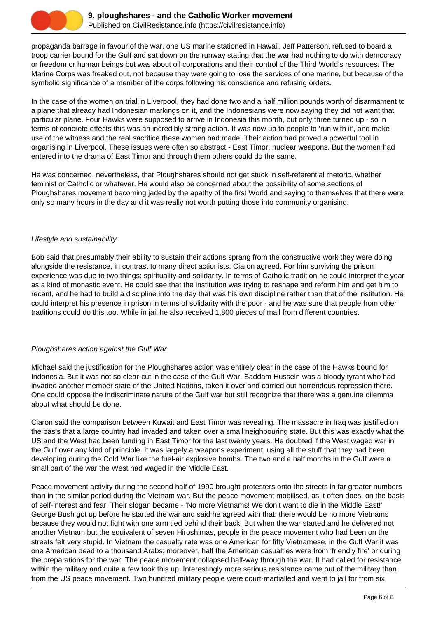

propaganda barrage in favour of the war, one US marine stationed in Hawaii, Jeff Patterson, refused to board a troop carrier bound for the Gulf and sat down on the runway stating that the war had nothing to do with democracy or freedom or human beings but was about oil corporations and their control of the Third World's resources. The Marine Corps was freaked out, not because they were going to lose the services of one marine, but because of the symbolic significance of a member of the corps following his conscience and refusing orders.

In the case of the women on trial in Liverpool, they had done two and a half million pounds worth of disarmament to a plane that already had Indonesian markings on it, and the Indonesians were now saying they did not want that particular plane. Four Hawks were supposed to arrive in Indonesia this month, but only three turned up - so in terms of concrete effects this was an incredibly strong action. It was now up to people to 'run with it', and make use of the witness and the real sacrifice these women had made. Their action had proved a powerful tool in organising in Liverpool. These issues were often so abstract - East Timor, nuclear weapons. But the women had entered into the drama of East Timor and through them others could do the same.

He was concerned, nevertheless, that Ploughshares should not get stuck in self-referential rhetoric, whether feminist or Catholic or whatever. He would also be concerned about the possibility of some sections of Ploughshares movement becoming jaded by the apathy of the first World and saying to themselves that there were only so many hours in the day and it was really not worth putting those into community organising.

### Lifestyle and sustainability

Bob said that presumably their ability to sustain their actions sprang from the constructive work they were doing alongside the resistance, in contrast to many direct actionists. Ciaron agreed. For him surviving the prison experience was due to two things: spirituality and solidarity. In terms of Catholic tradition he could interpret the year as a kind of monastic event. He could see that the institution was trying to reshape and reform him and get him to recant, and he had to build a discipline into the day that was his own discipline rather than that of the institution. He could interpret his presence in prison in terms of solidarity with the poor - and he was sure that people from other traditions could do this too. While in jail he also received 1,800 pieces of mail from different countries.

## Ploughshares action against the Gulf War

Michael said the justification for the Ploughshares action was entirely clear in the case of the Hawks bound for Indonesia. But it was not so clear-cut in the case of the Gulf War. Saddam Hussein was a bloody tyrant who had invaded another member state of the United Nations, taken it over and carried out horrendous repression there. One could oppose the indiscriminate nature of the Gulf war but still recognize that there was a genuine dilemma about what should be done.

Ciaron said the comparison between Kuwait and East Timor was revealing. The massacre in Iraq was justified on the basis that a large country had invaded and taken over a small neighbouring state. But this was exactly what the US and the West had been funding in East Timor for the last twenty years. He doubted if the West waged war in the Gulf over any kind of principle. It was largely a weapons experiment, using all the stuff that they had been developing during the Cold War like the fuel-air explosive bombs. The two and a half months in the Gulf were a small part of the war the West had waged in the Middle East.

Peace movement activity during the second half of 1990 brought protesters onto the streets in far greater numbers than in the similar period during the Vietnam war. But the peace movement mobilised, as it often does, on the basis of self-interest and fear. Their slogan became - 'No more Vietnams! We don't want to die in the Middle East!' George Bush got up before he started the war and said he agreed with that: there would be no more Vietnams because they would not fight with one arm tied behind their back. But when the war started and he delivered not another Vietnam but the equivalent of seven Hiroshimas, people in the peace movement who had been on the streets felt very stupid. In Vietnam the casualty rate was one American for fifty Vietnamese, in the Gulf War it was one American dead to a thousand Arabs; moreover, half the American casualties were from 'friendly fire' or during the preparations for the war. The peace movement collapsed half-way through the war. It had called for resistance within the military and quite a few took this up. Interestingly more serious resistance came out of the military than from the US peace movement. Two hundred military people were court-martialled and went to jail for from six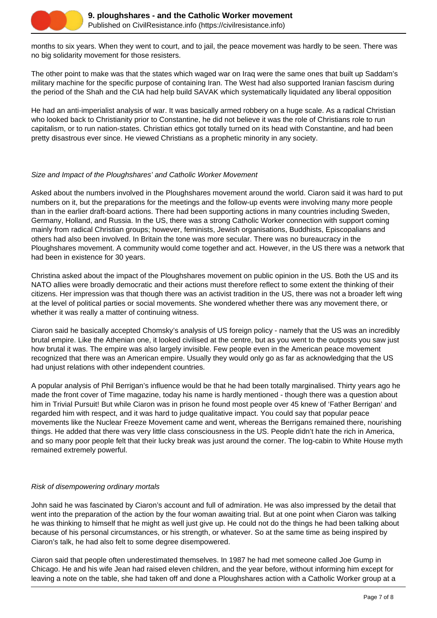

months to six years. When they went to court, and to jail, the peace movement was hardly to be seen. There was no big solidarity movement for those resisters.

The other point to make was that the states which waged war on Iraq were the same ones that built up Saddam's military machine for the specific purpose of containing Iran. The West had also supported Iranian fascism during the period of the Shah and the CIA had help build SAVAK which systematically liquidated any liberal opposition

He had an anti-imperialist analysis of war. It was basically armed robbery on a huge scale. As a radical Christian who looked back to Christianity prior to Constantine, he did not believe it was the role of Christians role to run capitalism, or to run nation-states. Christian ethics got totally turned on its head with Constantine, and had been pretty disastrous ever since. He viewed Christians as a prophetic minority in any society.

## Size and Impact of the Ploughshares' and Catholic Worker Movement

Asked about the numbers involved in the Ploughshares movement around the world. Ciaron said it was hard to put numbers on it, but the preparations for the meetings and the follow-up events were involving many more people than in the earlier draft-board actions. There had been supporting actions in many countries including Sweden, Germany, Holland, and Russia. In the US, there was a strong Catholic Worker connection with support coming mainly from radical Christian groups; however, feminists, Jewish organisations, Buddhists, Episcopalians and others had also been involved. In Britain the tone was more secular. There was no bureaucracy in the Ploughshares movement. A community would come together and act. However, in the US there was a network that had been in existence for 30 years.

Christina asked about the impact of the Ploughshares movement on public opinion in the US. Both the US and its NATO allies were broadly democratic and their actions must therefore reflect to some extent the thinking of their citizens. Her impression was that though there was an activist tradition in the US, there was not a broader left wing at the level of political parties or social movements. She wondered whether there was any movement there, or whether it was really a matter of continuing witness.

Ciaron said he basically accepted Chomsky's analysis of US foreign policy - namely that the US was an incredibly brutal empire. Like the Athenian one, it looked civilised at the centre, but as you went to the outposts you saw just how brutal it was. The empire was also largely invisible. Few people even in the American peace movement recognized that there was an American empire. Usually they would only go as far as acknowledging that the US had unjust relations with other independent countries.

A popular analysis of Phil Berrigan's influence would be that he had been totally marginalised. Thirty years ago he made the front cover of Time magazine, today his name is hardly mentioned - though there was a question about him in Trivial Pursuit! But while Ciaron was in prison he found most people over 45 knew of 'Father Berrigan' and regarded him with respect, and it was hard to judge qualitative impact. You could say that popular peace movements like the Nuclear Freeze Movement came and went, whereas the Berrigans remained there, nourishing things. He added that there was very little class consciousness in the US. People didn't hate the rich in America, and so many poor people felt that their lucky break was just around the corner. The log-cabin to White House myth remained extremely powerful.

## Risk of disempowering ordinary mortals

John said he was fascinated by Ciaron's account and full of admiration. He was also impressed by the detail that went into the preparation of the action by the four woman awaiting trial. But at one point when Ciaron was talking he was thinking to himself that he might as well just give up. He could not do the things he had been talking about because of his personal circumstances, or his strength, or whatever. So at the same time as being inspired by Ciaron's talk, he had also felt to some degree disempowered.

Ciaron said that people often underestimated themselves. In 1987 he had met someone called Joe Gump in Chicago. He and his wife Jean had raised eleven children, and the year before, without informing him except for leaving a note on the table, she had taken off and done a Ploughshares action with a Catholic Worker group at a